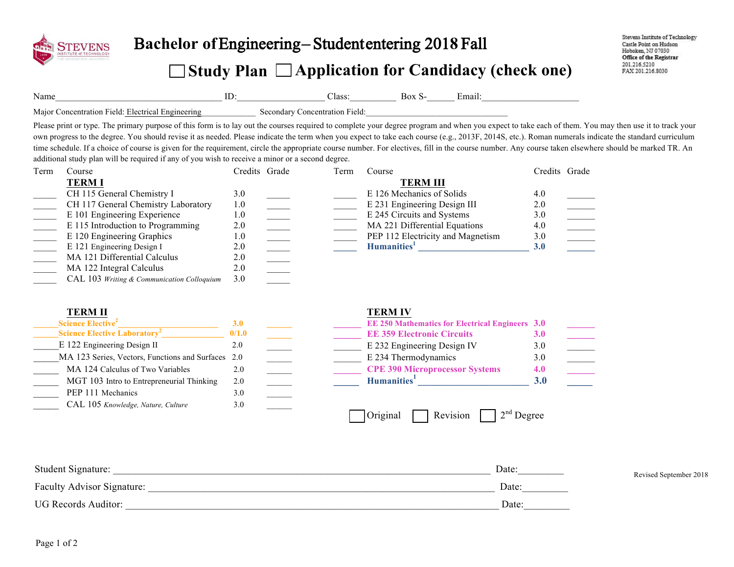

## B**achelor of** Engineering – Student entering 201**8** Fall

## **Study Plan Application for Candidacy (check one)**

Name\_\_\_\_\_\_\_\_\_\_\_\_\_\_\_\_\_\_\_\_\_\_\_\_\_\_\_\_\_\_\_\_\_\_\_\_ ID:\_\_\_\_\_\_\_\_\_\_\_\_\_\_\_\_\_\_\_ Class:\_\_\_\_\_\_\_\_\_\_ Box S-\_\_\_\_\_\_ Email:\_\_\_\_\_\_\_\_\_\_\_\_\_\_\_\_\_\_\_\_\_

Major Concentration Field: Electrical Engineering Secondary Concentration Field:

Please print or type. The primary purpose of this form is to lay out the courses required to complete your degree program and when you expect to take each of them. You may then use it to track your own progress to the degree. You should revise it as needed. Please indicate the term when you expect to take each course (e.g., 2013F, 2014S, etc.). Roman numerals indicate the standard curriculum time schedule. If a choice of course is given for the requirement, circle the appropriate course number. For electives, fill in the course number. Any course taken elsewhere should be marked TR. An additional study plan will be required if any of you wish to receive a minor or a second degree.

| Term | Course                                     | Credits Grade | Term | Course                            | Credits Grade |  |
|------|--------------------------------------------|---------------|------|-----------------------------------|---------------|--|
|      | <b>TERMI</b>                               |               |      | <b>TERM III</b>                   |               |  |
|      | CH 115 General Chemistry I                 | 3.0           |      | E 126 Mechanics of Solids         | 4.0           |  |
|      | CH 117 General Chemistry Laboratory        | 1.0           |      | E 231 Engineering Design III      | 2.0           |  |
|      | E 101 Engineering Experience               | 1.0           |      | E 245 Circuits and Systems        | 3.0           |  |
|      | E 115 Introduction to Programming          | 2.0           |      | MA 221 Differential Equations     | 4.0           |  |
|      | E 120 Engineering Graphics                 | 1.0           |      | PEP 112 Electricity and Magnetism | 3.0           |  |
|      | E 121 Engineering Design I                 | 2.0           |      | Humanities <sup>1</sup>           | <b>3.0</b>    |  |
|      | MA 121 Differential Calculus               | 2.0           |      |                                   |               |  |
|      | MA 122 Integral Calculus                   | 2.0           |      |                                   |               |  |
|      | CAL 103 Writing & Communication Colloquium | 3.0           |      |                                   |               |  |

| <b>TERM II</b>                                     |            | <b>TERM IV</b>                                         |                  |
|----------------------------------------------------|------------|--------------------------------------------------------|------------------|
| Science Elective <sup>2</sup>                      | <b>3.0</b> | <b>EE 250 Mathematics for Electrical Engineers 3.0</b> |                  |
| <b>Science Elective Laboratory<sup>2</sup></b>     | 0/1.0      | <b>EE 359 Electronic Circuits</b>                      | <b>3.0</b>       |
| E 122 Engineering Design II                        | 2.0        | E 232 Engineering Design IV                            | 3.0              |
| MA 123 Series, Vectors, Functions and Surfaces 2.0 |            | E 234 Thermodynamics                                   | 3.0              |
| MA 124 Calculus of Two Variables                   | 2.0        | <b>CPE 390 Microprocessor Systems</b>                  | 4.0              |
| MGT 103 Intro to Entrepreneurial Thinking          | 2.0        | Humanities <sup>1</sup>                                | 3.0 <sub>1</sub> |
| PEP 111 Mechanics                                  | 3.0        |                                                        |                  |
| CAL 105 Knowledge, Nature, Culture                 | 3.0        |                                                        |                  |
|                                                    |            | $12^{nd}$ Degree<br>Revision<br>Original               |                  |

| Student Signature:         | Date: | Revised September 2018 |
|----------------------------|-------|------------------------|
| Faculty Advisor Signature: | Date: |                        |
| <b>UG Records Auditor:</b> | Date: |                        |